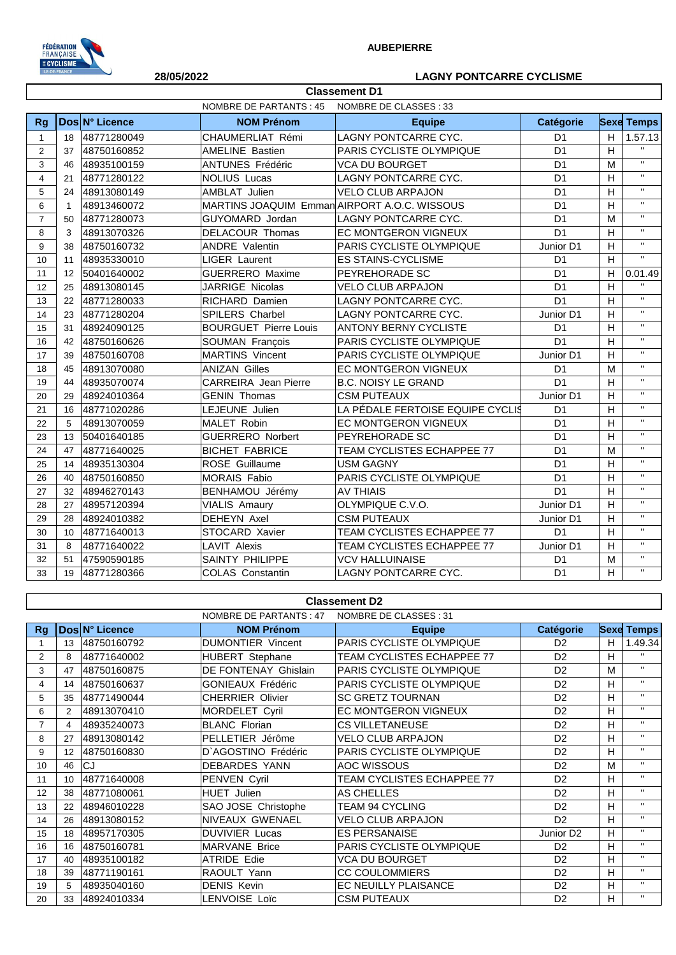

# **28/05/2022 LAGNY PONTCARRE CYCLISME**

| <b>NOMBRE DE PARTANTS: 45</b><br>NOMBRE DE CLASSES : 33 |             |                |                                              |                                  |                |   |                    |
|---------------------------------------------------------|-------------|----------------|----------------------------------------------|----------------------------------|----------------|---|--------------------|
| <b>Rg</b>                                               |             | Dos N° Licence | <b>NOM Prénom</b>                            | <b>Equipe</b>                    | Catégorie      |   | <b>Sexe Temps</b>  |
| $\mathbf{1}$                                            | 18          | 48771280049    | CHAUMERLIAT Rémi                             | LAGNY PONTCARRE CYC.             | D <sub>1</sub> | H | 1.57.13            |
| 2                                                       | 37          | 48750160852    | <b>AMELINE Bastien</b>                       | PARIS CYCLISTE OLYMPIQUE         | D <sub>1</sub> | H |                    |
| 3                                                       | 46          | 48935100159    | <b>ANTUNES Frédéric</b>                      | <b>VCA DU BOURGET</b>            | D <sub>1</sub> | M | $\mathbf{H}$       |
| $\overline{4}$                                          | 21          | 48771280122    | <b>NOLIUS Lucas</b>                          | LAGNY PONTCARRE CYC.             | D <sub>1</sub> | H | $\mathbf{H}$       |
| 5                                                       | 24          | 48913080149    | AMBLAT Julien                                | <b>VELO CLUB ARPAJON</b>         | D <sub>1</sub> | H | $\bar{\mathbf{H}}$ |
| 6                                                       | $\mathbf 1$ | 48913460072    | MARTINS JOAQUIM Emman AIRPORT A.O.C. WISSOUS |                                  | D <sub>1</sub> | H | $\bar{\mathbf{H}}$ |
| $\overline{7}$                                          | 50          | 48771280073    | GUYOMARD Jordan                              | <b>LAGNY PONTCARRE CYC.</b>      | D <sub>1</sub> | M | $\mathbf{H}$       |
| 8                                                       | 3           | 48913070326    | <b>DELACOUR Thomas</b>                       | EC MONTGERON VIGNEUX             | D <sub>1</sub> | H | $\mathbf{H}$       |
| 9                                                       | 38          | 48750160732    | <b>ANDRE Valentin</b>                        | PARIS CYCLISTE OLYMPIQUE         | Junior D1      | H | $\bar{\mathbf{H}}$ |
| 10                                                      | 11          | 48935330010    | LIGER Laurent                                | <b>ES STAINS-CYCLISME</b>        | D <sub>1</sub> | H | $\bar{\mathbf{H}}$ |
| 11                                                      | 12          | 50401640002    | <b>GUERRERO</b> Maxime                       | PEYREHORADE SC                   | D <sub>1</sub> | H | 0.01.49            |
| 12                                                      | 25          | 48913080145    | <b>JARRIGE Nicolas</b>                       | <b>VELO CLUB ARPAJON</b>         | D <sub>1</sub> | H |                    |
| 13                                                      | 22          | 48771280033    | <b>RICHARD Damien</b>                        | <b>LAGNY PONTCARRE CYC.</b>      | D <sub>1</sub> | H | $\mathbf{H}$       |
| 14                                                      | 23          | 48771280204    | SPILERS Charbel                              | LAGNY PONTCARRE CYC.             | Junior D1      | H | $\mathbf{H}$       |
| 15                                                      | 31          | 48924090125    | <b>BOURGUET Pierre Louis</b>                 | <b>ANTONY BERNY CYCLISTE</b>     | D <sub>1</sub> | H | $\mathbf{H}$       |
| 16                                                      | 42          | 48750160626    | SOUMAN François                              | PARIS CYCLISTE OLYMPIQUE         | D <sub>1</sub> | H | $\mathbf{H}$       |
| 17                                                      | 39          | 48750160708    | <b>MARTINS Vincent</b>                       | PARIS CYCLISTE OLYMPIQUE         | Junior D1      | H | $\mathbf{H}$       |
| 18                                                      | 45          | 48913070080    | <b>ANIZAN Gilles</b>                         | EC MONTGERON VIGNEUX             | D <sub>1</sub> | M | $\mathbf{H}$       |
| 19                                                      | 44          | 48935070074    | <b>CARREIRA</b> Jean Pierre                  | <b>B.C. NOISY LE GRAND</b>       | D <sub>1</sub> | H | $\mathbf{H}$       |
| 20                                                      | 29          | 48924010364    | <b>GENIN Thomas</b>                          | <b>CSM PUTEAUX</b>               | Junior D1      | H | $\mathbf{H}$       |
| 21                                                      | 16          | 48771020286    | LEJEUNE Julien                               | LA PÉDALE FERTOISE EQUIPE CYCLIS | D <sub>1</sub> | H | $\mathbf{H}$       |
| 22                                                      | 5           | 48913070059    | MALET Robin                                  | EC MONTGERON VIGNEUX             | D <sub>1</sub> | H | $\mathbf{H}$       |
| 23                                                      | 13          | 50401640185    | <b>GUERRERO Norbert</b>                      | PEYREHORADE SC                   | D <sub>1</sub> | H | $\mathbf{H}$       |
| 24                                                      | 47          | 48771640025    | <b>BICHET FABRICE</b>                        | TEAM CYCLISTES ECHAPPEE 77       | D <sub>1</sub> | M | $\mathbf{H}$       |
| 25                                                      | 14          | 48935130304    | ROSE Guillaume                               | <b>USM GAGNY</b>                 | D <sub>1</sub> | H | $\mathbf{u}$       |
| 26                                                      | 40          | 48750160850    | <b>MORAIS Fabio</b>                          | PARIS CYCLISTE OLYMPIQUE         | D <sub>1</sub> | H | $\mathbf{H}$       |
| 27                                                      | 32          | 48946270143    | BENHAMOU Jérémy                              | <b>AV THIAIS</b>                 | D <sub>1</sub> | H | $\mathbf{H}$       |
| 28                                                      | 27          | 48957120394    | <b>VIALIS Amaury</b>                         | OLYMPIQUE C.V.O.                 | Junior D1      | H | $\mathbf{H}$       |
| 29                                                      | 28          | 48924010382    | DEHEYN Axel                                  | <b>CSM PUTEAUX</b>               | Junior D1      | H | $\mathbf{H}$       |
| 30                                                      | 10          | 48771640013    | STOCARD Xavier                               | TEAM CYCLISTES ECHAPPEE 77       | D <sub>1</sub> | H | $\mathbf{H}$       |
| 31                                                      | 8           | 48771640022    | LAVIT Alexis                                 | TEAM CYCLISTES ECHAPPEE 77       | Junior D1      | H | $\mathbf{H}$       |
| 32                                                      | 51          | 47590590185    | <b>SAINTY PHILIPPE</b>                       | <b>VCV HALLUINAISE</b>           | D <sub>1</sub> | M | $\mathbf{H}$       |
| 33                                                      | 19          | 48771280366    | COLAS Constantin                             | LAGNY PONTCARRE CYC.             | D <sub>1</sub> | H | $\mathbf{H}$       |

**Classement D1**

## **Classement D2**

|                |                |                | NOMBRE DE PARTANTS : 47  | NOMBRE DE CLASSES: 31             |                       |   |                   |
|----------------|----------------|----------------|--------------------------|-----------------------------------|-----------------------|---|-------------------|
| Rg             |                | Dos N° Licence | <b>NOM Prénom</b>        | <b>Equipe</b>                     | <b>Catégorie</b>      |   | <b>Sexe Temps</b> |
|                | 13             | 48750160792    | <b>DUMONTIER Vincent</b> | PARIS CYCLISTE OLYMPIQUE          | D <sub>2</sub>        | H | 1.49.34           |
| $\overline{2}$ | 8              | 48771640002    | <b>HUBERT</b> Stephane   | <b>TEAM CYCLISTES ECHAPPEE 77</b> | D <sub>2</sub>        | H | $\mathbf{H}$      |
| 3              | 47             | 48750160875    | DE FONTENAY Ghislain     | PARIS CYCLISTE OLYMPIQUE          | D <sub>2</sub>        | М | $\mathbf{H}$      |
| 4              | 14             | 48750160637    | <b>GONIEAUX Frédéric</b> | PARIS CYCLISTE OLYMPIQUE          | D <sub>2</sub>        | H | $\mathbf{H}$      |
| 5              | 35             | 48771490044    | <b>CHERRIER Olivier</b>  | <b>SC GRETZ TOURNAN</b>           | D <sub>2</sub>        | H | $\mathbf{H}$      |
| 6              | $\overline{2}$ | 48913070410    | MORDELET Cyril           | <b>EC MONTGERON VIGNEUX</b>       | D <sub>2</sub>        | н | $\mathbf{H}$      |
|                | 4              | 48935240073    | <b>BLANC Florian</b>     | CS VILLETANEUSE                   | D <sub>2</sub>        | H | $\mathbf{H}$      |
| 8              | 27             | 48913080142    | PELLETIER Jérôme         | <b>VELO CLUB ARPAJON</b>          | D <sub>2</sub>        | н | $\mathbf{H}$      |
| 9              | 12             | 48750160830    | D'AGOSTINO Frédéric      | PARIS CYCLISTE OLYMPIQUE          | D <sub>2</sub>        | H | $\mathbf{H}$      |
| 10             | 46             | CJ             | <b>DEBARDES YANN</b>     | <b>AOC WISSOUS</b>                | D <sub>2</sub>        | M | $\mathbf{H}$      |
| 11             | 10             | 48771640008    | PENVEN Cyril             | TEAM CYCLISTES ECHAPPEE 77        | D <sub>2</sub>        | н | $\mathbf{H}$      |
| 12             | 38             | 48771080061    | <b>HUET Julien</b>       | AS CHELLES                        | D <sub>2</sub>        | H | $\mathbf{H}$      |
| 13             | 22             | 48946010228    | SAO JOSE Christophe      | TEAM 94 CYCLING                   | D <sub>2</sub>        | н | $\mathbf{H}$      |
| 14             | 26             | 48913080152    | NIVEAUX GWENAEL          | <b>VELO CLUB ARPAJON</b>          | D <sub>2</sub>        | H | $\mathbf{H}$      |
| 15             | 18             | 48957170305    | <b>DUVIVIER Lucas</b>    | <b>ES PERSANAISE</b>              | Junior D <sub>2</sub> | H | $\mathbf{H}$      |
| 16             | 16             | 48750160781    | <b>MARVANE Brice</b>     | PARIS CYCLISTE OLYMPIQUE          | D <sub>2</sub>        | н | $\mathbf{H}$      |
| 17             | 40             | 48935100182    | <b>ATRIDE Edie</b>       | <b>VCA DU BOURGET</b>             | D <sub>2</sub>        | н | $\mathbf{H}$      |
| 18             | 39             | 48771190161    | RAOULT Yann              | <b>CC COULOMMIERS</b>             | D <sub>2</sub>        | н | $\mathbf{H}$      |
| 19             | 5              | 48935040160    | <b>DENIS Kevin</b>       | EC NEUILLY PLAISANCE              | D <sub>2</sub>        | н | $\mathbf{H}$      |
| 20             | 33             | 48924010334    | LENVOISE Loïc            | <b>CSM PUTEAUX</b>                | D <sub>2</sub>        | H | $\mathbf{H}$      |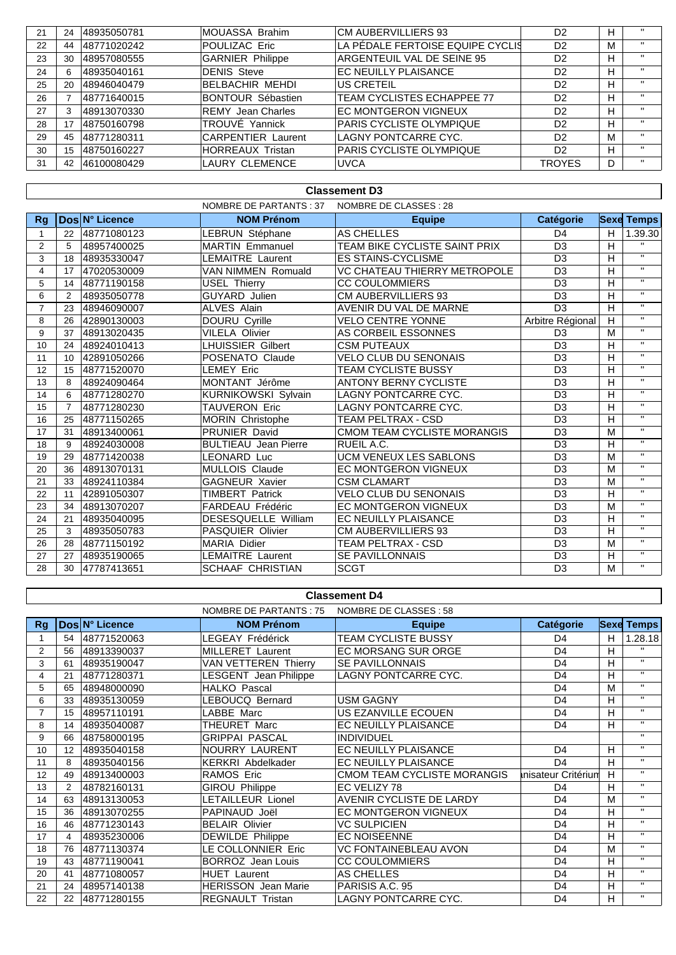| 21 | 24 | 48935050781 | IMOUASSA Brahim           | <b>CM AUBERVILLIERS 93</b>        | D <sub>2</sub> | н | $\mathbf{u}$ |
|----|----|-------------|---------------------------|-----------------------------------|----------------|---|--------------|
| 22 | 44 | 48771020242 | POULIZAC Eric             | LA PÉDALE FERTOISE EQUIPE CYCLIS  | D <sub>2</sub> | м | $\mathbf{H}$ |
| 23 | 30 | 48957080555 | <b>GARNIER Philippe</b>   | ARGENTEUIL VAL DE SEINE 95        | D <sub>2</sub> | н | $\mathbf{H}$ |
| 24 | 6  | 48935040161 | <b>DENIS Steve</b>        | <b>EC NEUILLY PLAISANCE</b>       | D <sub>2</sub> | H | $\mathbf{H}$ |
| 25 | 20 | 48946040479 | <b>BELBACHIR MEHDI</b>    | US CRETEIL                        | D <sub>2</sub> | н | $\mathbf{H}$ |
| 26 |    | 48771640015 | <b>BONTOUR Sébastien</b>  | <b>TEAM CYCLISTES ECHAPPEE 77</b> | D <sub>2</sub> | н | $\mathbf{H}$ |
| 27 |    | 48913070330 | <b>REMY</b> Jean Charles  | <b>EC MONTGERON VIGNEUX</b>       | D <sub>2</sub> | н | $\mathbf{H}$ |
| 28 | 17 | 48750160798 | TROUVÉ Yannick            | PARIS CYCLISTE OLYMPIQUE          | D <sub>2</sub> | н | $\mathbf{H}$ |
| 29 | 45 | 48771280311 | <b>CARPENTIER Laurent</b> | LAGNY PONTCARRE CYC.              | D <sub>2</sub> | м | $\mathbf{H}$ |
| 30 | 15 | 48750160227 | <b>HORREAUX Tristan</b>   | PARIS CYCLISTE OLYMPIQUE          | D <sub>2</sub> | н | $\mathbf{u}$ |
| 31 | 42 | 46100080429 | <b>LAURY CLEMENCE</b>     | <b>UVCA</b>                       | <b>TROYES</b>  | D | $\mathbf{H}$ |

### **Classement D3**

|                |                |                | NOMBRE DE PARTANTS : 37     | NOMBRE DE CLASSES : 28        |                  |   |                   |
|----------------|----------------|----------------|-----------------------------|-------------------------------|------------------|---|-------------------|
| <b>Rg</b>      |                | Dos N° Licence | <b>NOM Prénom</b>           | <b>Equipe</b>                 | <b>Catégorie</b> |   | <b>Sexe Temps</b> |
|                | 22             | 48771080123    | LEBRUN Stéphane             | AS CHELLES                    | D <sub>4</sub>   | H | 1.39.30           |
| $\overline{2}$ | 5              | 48957400025    | <b>MARTIN Emmanuel</b>      | TEAM BIKE CYCLISTE SAINT PRIX | D <sub>3</sub>   | Н | $\mathbf{H}$      |
| 3              | 18             | 48935330047    | <b>LEMAITRE Laurent</b>     | <b>ES STAINS-CYCLISME</b>     | D <sub>3</sub>   | н | $\mathbf{H}$      |
| 4              | 17             | 47020530009    | <b>VAN NIMMEN Romuald</b>   | VC CHATEAU THIERRY METROPOLE  | D <sub>3</sub>   | Н | $\mathbf{H}$      |
| 5              | 14             | 48771190158    | <b>USEL Thierry</b>         | <b>CC COULOMMIERS</b>         | D <sub>3</sub>   | H | $\mathbf{H}$      |
| 6              | 2              | 48935050778    | <b>GUYARD</b> Julien        | CM AUBERVILLIERS 93           | D <sub>3</sub>   | H | $\mathbf{H}$      |
| $\overline{7}$ | 23             | 48946090007    | <b>ALVES Alain</b>          | AVENIR DU VAL DE MARNE        | D <sub>3</sub>   | H | $\mathbf{H}$      |
| 8              | 26             | 42890130003    | DOURU Cyrille               | <b>VELO CENTRE YONNE</b>      | Arbitre Régional | H | $\mathbf{H}$      |
| 9              | 37             | 48913020435    | <b>VILELA Olivier</b>       | AS CORBEIL ESSONNES           | D <sub>3</sub>   | M | $\mathbf{H}$      |
| 10             | 24             | 48924010413    | <b>LHUISSIER Gilbert</b>    | <b>CSM PUTEAUX</b>            | D <sub>3</sub>   | н | $\mathbf{H}$      |
| 11             | 10             | 42891050266    | POSENATO Claude             | <b>VELO CLUB DU SENONAIS</b>  | D <sub>3</sub>   | н | $\mathbf{H}$      |
| 12             | 15             | 48771520070    | <b>LEMEY Eric</b>           | <b>TEAM CYCLISTE BUSSY</b>    | D <sub>3</sub>   | н | $\mathbf{H}$      |
| 13             | 8              | 48924090464    | MONTANT Jérôme              | <b>ANTONY BERNY CYCLISTE</b>  | D <sub>3</sub>   | Н | $\mathbf{H}$      |
| 14             | 6              | 48771280270    | <b>KURNIKOWSKI Sylvain</b>  | <b>LAGNY PONTCARRE CYC.</b>   | D <sub>3</sub>   | H | $\mathbf{H}$      |
| 15             | $\overline{7}$ | 48771280230    | TAUVERON Eric               | <b>LAGNY PONTCARRE CYC.</b>   | D <sub>3</sub>   | H | $\mathbf{H}$      |
| 16             | 25             | 48771150265    | <b>MORIN Christophe</b>     | TEAM PELTRAX - CSD            | D <sub>3</sub>   | Н | $\mathbf{H}$      |
| 17             | 31             | 48913400061    | PRUNIER David               | CMOM TEAM CYCLISTE MORANGIS   | D <sub>3</sub>   | M | $\mathbf{H}$      |
| 18             | 9              | 48924030008    | <b>BULTIEAU</b> Jean Pierre | RUEIL A.C.                    | D <sub>3</sub>   | Н | $\mathbf{H}$ .    |
| 19             | 29             | 48771420038    | <b>LEONARD Luc</b>          | UCM VENEUX LES SABLONS        | D <sub>3</sub>   | M | $\mathbf{H}$      |
| 20             | 36             | 48913070131    | <b>MULLOIS Claude</b>       | <b>EC MONTGERON VIGNEUX</b>   | D <sub>3</sub>   | M | $\mathbf{H}$      |
| 21             | 33             | 48924110384    | <b>GAGNEUR Xavier</b>       | <b>CSM CLAMART</b>            | D <sub>3</sub>   | M | $\mathbf{H}$      |
| 22             | 11             | 42891050307    | <b>TIMBERT Patrick</b>      | <b>VELO CLUB DU SENONAIS</b>  | D <sub>3</sub>   | Η | $\mathbf{H}$      |
| 23             | 34             | 48913070207    | FARDEAU Frédéric            | <b>EC MONTGERON VIGNEUX</b>   | D <sub>3</sub>   | M | $\mathbf{H}$      |
| 24             | 21             | 48935040095    | <b>DESESQUELLE William</b>  | EC NEUILLY PLAISANCE          | D <sub>3</sub>   | H | $\mathbf{H}$      |
| 25             | 3              | 48935050783    | <b>PASQUIER Olivier</b>     | <b>CM AUBERVILLIERS 93</b>    | D <sub>3</sub>   | H | $\mathbf{H}$      |
| 26             | 28             | 48771150192    | <b>MARIA Didier</b>         | TEAM PELTRAX - CSD            | D <sub>3</sub>   | M | $\mathbf{H}$      |
| 27             | 27             | 48935190065    | <b>LEMAITRE Laurent</b>     | <b>SE PAVILLONNAIS</b>        | D <sub>3</sub>   | Н | $\mathbf{H}$      |
| 28             | 30             | 47787413651    | <b>SCHAAF CHRISTIAN</b>     | <b>SCGT</b>                   | D <sub>3</sub>   | M | $\mathbf{H}$      |

### **Classement D4** NOMBRE DE CLASSES : 58 NOMBRE DE PARTANTS : 75 Rg Dos N° Licence **NOM Prénom Equipe** Catégorie Sexe Temps  $\overline{54}$ 48771520063 LEGEAY Frédérick **TEAM CYCLISTE BUSSY**  $\overline{D4}$  $\overline{H}$  $1.28.18$  $\mathbf{1}$  $\overline{2}$  $56$ 48913390037 **MILLERET Laurent EC MORSANG SUR ORGE**  $\overline{D4}$  $\overline{H}$  $\overline{u}$  $61$ 48935190047 **VAN VETTEREN Thierry SE PAVILLONNAIS**  $\overline{D4}$  $\overline{H}$ 3 **LAGNY PONTCARRE CYC**  $\overline{u}$  $\overline{4}$  $\overline{21}$ 48771280371 LESGENT Jean Philippe  $\overline{D4}$  $\overline{\overline{\overline{\mathsf{H}}}}$ 48948000090 **HALKO Pascal**  $\overline{D4}$  $\overline{M}$  $\overline{u}$  $\overline{5}$  $65$  $\overline{u}$ 48935130059 LEBOUCQ Bernard **USM GAGNY**  $\overline{D4}$  $\overline{H}$  $\overline{6}$  $33$  $\overline{7}$  $15$ 48957110191 **LABBE** Marc US EZANVILLE ECOUEN D<sub>4</sub>  $\overline{\mathsf{H}}$  $\overline{\mathbf{u}}$  $\overline{u}$  $\overline{8}$  $\overline{14}$ 48935040087 **THEURET Marc** EC NEUILLY PLAISANCE  $\overline{D4}$  $\overline{H}$ π  $\overline{9}$ 66 48758000195 **GRIPPAI PASCAI INDIVIDUEL**  $\overline{u}$ NOURRY LAURENT EC NEUILLY PLAISANCE  $\overline{D4}$  $\overline{H}$  $10$ 48935040158  $12$  $\overline{11}$ EC NEUILLY PLAISANCE  $\overline{u}$ **KERKRI Abdelkader**  $\overline{D4}$  $\overline{H}$  $\overline{8}$ 48935040156 RAMOS Eric **CMOM TEAM CYCLISTE MORANGIS** inisateur Critériun  $\overline{H}$  $\overline{u}$  $\overline{12}$ 48913400003 49 48782160131 **GIROU Philippe** EC VELIZY 78  $\overline{D4}$  $\overline{H}$  $\overline{u}$  $13$  $\overline{z}$ LETAILLEUR Lionel  $14$ 63 48913130053 **AVENIR CYCLISTE DE LARDY**  $\overline{D4}$  $\overline{M}$  $\overline{\mathbf{u}}$  $15$  $36$ 48913070255 PAPINAUD Joël **EC MONTGERON VIGNEUX**  $\overline{D4}$  $\overline{H}$  $\overline{\mathbf{u}}$  $16$  $\overline{46}$ 48771230143 **BELAIR Olivier VC SULPICIEN**  $\overline{D4}$  $\overline{H}$  $\overline{\mathbf{u}}$  $\overline{u}$  $\overline{17}$  $\overline{4}$ 48935230006 **DEWILDE Philippe EC NOISEENNE**  $\overline{D4}$  $\overline{H}$ LE COLLONNIER Eric  $\overline{18}$  $\overline{76}$ 48771130374 **VC FONTAINEBLEAU AVON**  $D4$  $\overline{M}$  $\overline{\mathbf{u}}$  $\overline{D4}$  $\overline{19}$  $\overline{43}$ 48771190041 BORROZ Jean Louis **CC COULOMMIERS**  $\overline{H}$  $\overline{D4}$ 48771080057 **HUET** Laurent  $\overline{H}$  $\overline{20}$  $41$ AS CHELLES PARISIS A.C. 95 48957140138 **HERISSON** Jean Marie  $\overline{D4}$  $\overline{u}$  $\overline{21}$  $24$  $\overline{H}$  $22$  $\overline{22}$ 48771280155 REGNAULT Tristan **LAGNY PONTCARRE CYC.**  $\overline{D4}$  $\overline{H}$  $\overline{\mathbf{u}}$